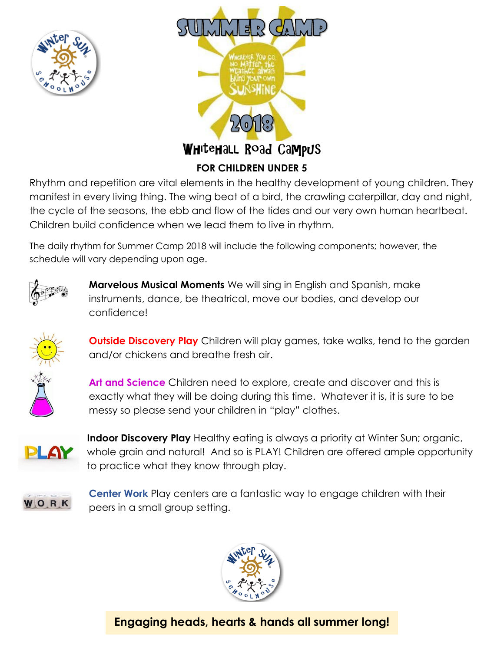



Rhythm and repetition are vital elements in the healthy development of young children. They manifest in every living thing. The wing beat of a bird, the crawling caterpillar, day and night, the cycle of the seasons, the ebb and flow of the tides and our very own human heartbeat. Children build confidence when we lead them to live in rhythm.

The daily rhythm for Summer Camp 2018 will include the following components; however, the schedule will vary depending upon age.



**Marvelous Musical Moments** We will sing in English and Spanish, make instruments, dance, be theatrical, move our bodies, and develop our confidence!



**Outside Discovery Play** Children will play games, take walks, tend to the garden and/or chickens and breathe fresh air.

**Art and Science** Children need to explore, create and discover and this is exactly what they will be doing during this time. Whatever it is, it is sure to be messy so please send your children in "play" clothes.



**Indoor Discovery Play** Healthy eating is always a priority at Winter Sun; organic, whole grain and natural! And so is PLAY! Children are offered ample opportunity to practice what they know through play.



**Center Work** Play centers are a fantastic way to engage children with their peers in a small group setting.



**Engaging heads, hearts & hands all summer long!**